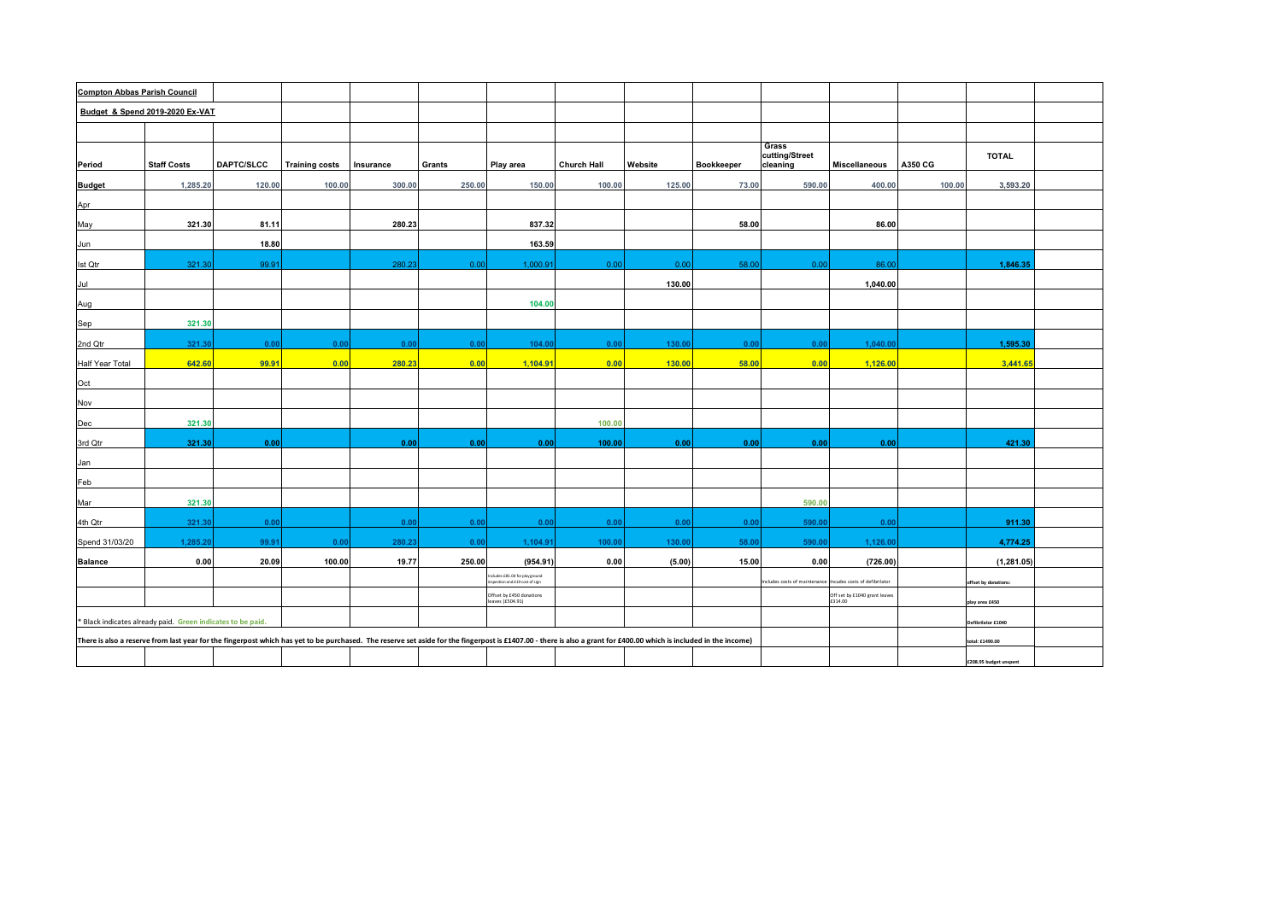| <b>Compton Abbas Parish Council</b> |                                                             |            |                       |           |        |                                                                 |                                                                                                                                                                                                                    |         |                   |                                                             |                                          |         |                        |  |
|-------------------------------------|-------------------------------------------------------------|------------|-----------------------|-----------|--------|-----------------------------------------------------------------|--------------------------------------------------------------------------------------------------------------------------------------------------------------------------------------------------------------------|---------|-------------------|-------------------------------------------------------------|------------------------------------------|---------|------------------------|--|
| Budget & Spend 2019-2020 Ex-VAT     |                                                             |            |                       |           |        |                                                                 |                                                                                                                                                                                                                    |         |                   |                                                             |                                          |         |                        |  |
|                                     |                                                             |            |                       |           |        |                                                                 |                                                                                                                                                                                                                    |         |                   |                                                             |                                          |         |                        |  |
| Period                              | <b>Staff Costs</b>                                          | DAPTC/SLCC | <b>Training costs</b> | Insurance | Grants | Play area                                                       | <b>Church Hall</b>                                                                                                                                                                                                 | Website | <b>Bookkeeper</b> | Grass<br>cutting/Street<br>cleaning                         | <b>Miscellaneous</b>                     | A350 CG | <b>TOTAL</b>           |  |
| <b>Budget</b>                       | 1,285.20                                                    | 120.00     | 100.00                | 300.00    | 250.00 | 150.00                                                          | 100.00                                                                                                                                                                                                             | 125.00  | 73.00             | 590.00                                                      | 400.00                                   | 100.00  | 3,593.20               |  |
| Apr                                 |                                                             |            |                       |           |        |                                                                 |                                                                                                                                                                                                                    |         |                   |                                                             |                                          |         |                        |  |
| May                                 | 321.30                                                      | 81.11      |                       | 280.23    |        | 837.32                                                          |                                                                                                                                                                                                                    |         | 58.00             |                                                             | 86.00                                    |         |                        |  |
| Jun                                 |                                                             | 18.80      |                       |           |        | 163.59                                                          |                                                                                                                                                                                                                    |         |                   |                                                             |                                          |         |                        |  |
| <b>Ist Qtr</b>                      | 321.30                                                      | 99.91      |                       | 280.23    | 0.00   | 1,000.91                                                        | 0.00                                                                                                                                                                                                               | 0.00    | 58.00             | 0.00                                                        | 86.00                                    |         | 1,846.35               |  |
| Jul                                 |                                                             |            |                       |           |        |                                                                 |                                                                                                                                                                                                                    | 130.00  |                   |                                                             | 1,040.00                                 |         |                        |  |
| Aug                                 |                                                             |            |                       |           |        | 104.00                                                          |                                                                                                                                                                                                                    |         |                   |                                                             |                                          |         |                        |  |
| Sep                                 | 321.30                                                      |            |                       |           |        |                                                                 |                                                                                                                                                                                                                    |         |                   |                                                             |                                          |         |                        |  |
| 2nd Qtr                             | 321.30                                                      | 0.00       | 0.00                  | 0.00      | 0.00   | 104.00                                                          | 0.00                                                                                                                                                                                                               | 130.00  | 0.00              | 0.00                                                        | 1.040.00                                 |         | 1,595.30               |  |
| Half Year Total                     | 642.60                                                      | 99.91      | 0.00                  | 280.23    | 0.00   | 1,104.91                                                        | 0.00                                                                                                                                                                                                               | 130.00  | 58.00             | 0.00                                                        | 1,126.00                                 |         | 3,441.65               |  |
| Oct                                 |                                                             |            |                       |           |        |                                                                 |                                                                                                                                                                                                                    |         |                   |                                                             |                                          |         |                        |  |
| Nov                                 |                                                             |            |                       |           |        |                                                                 |                                                                                                                                                                                                                    |         |                   |                                                             |                                          |         |                        |  |
| Dec                                 | 321.30                                                      |            |                       |           |        |                                                                 | 100.00                                                                                                                                                                                                             |         |                   |                                                             |                                          |         |                        |  |
| 3rd Qtr                             | 321.30                                                      | 0.00       |                       | 0.00      | 0.00   | 0.00                                                            | 100.00                                                                                                                                                                                                             | 0.00    | 0.00              | 0.00                                                        | 0.00                                     |         | 421.30                 |  |
| Jan                                 |                                                             |            |                       |           |        |                                                                 |                                                                                                                                                                                                                    |         |                   |                                                             |                                          |         |                        |  |
| Feb                                 |                                                             |            |                       |           |        |                                                                 |                                                                                                                                                                                                                    |         |                   |                                                             |                                          |         |                        |  |
| Mar                                 | 321.30                                                      |            |                       |           |        |                                                                 |                                                                                                                                                                                                                    |         |                   | 590.00                                                      |                                          |         |                        |  |
| 4th Qtr                             | 321.30                                                      | 0.00       |                       | 0.00      | 0.00   | 0.00                                                            | 0.00                                                                                                                                                                                                               | 0.00    | 0.00              | 590.00                                                      | 0.00                                     |         | 911.30                 |  |
| Spend 31/03/20                      | 1,285.20                                                    | 99.91      | 0.00                  | 280.23    | 0.00   | 1,104.91                                                        | 100.00                                                                                                                                                                                                             | 130.00  | 58.00             | 590.00                                                      | 1,126.00                                 |         | 4,774.25               |  |
| <b>Balance</b>                      | 0.00                                                        | 20.09      | 100.00                | 19.77     | 250.00 | (954.91)                                                        | 0.00                                                                                                                                                                                                               | (5.00)  | 15.00             | 0.00                                                        | (726.00)                                 |         | (1, 281.05)            |  |
|                                     |                                                             |            |                       |           |        | ncludes £85.00 for playground<br>nspection and £19 cost of sign |                                                                                                                                                                                                                    |         |                   | Includes costs of maintenance Incudes costs of defibrilator |                                          |         | offset by donations:   |  |
|                                     |                                                             |            |                       |           |        | Offset by £450 donations<br>leaves (£504.91)                    |                                                                                                                                                                                                                    |         |                   |                                                             | Off set by £1040 grant leaves<br>£314.00 |         | play area £450         |  |
|                                     | * Black indicates already paid. Green indicates to be paid. |            |                       |           |        |                                                                 |                                                                                                                                                                                                                    |         |                   |                                                             |                                          |         | Defibrilator £1040     |  |
|                                     |                                                             |            |                       |           |        |                                                                 | There is also a reserve from last year for the fingerpost which has yet to be purchased. The reserve set aside for the fingerpost is £1407.00 - there is also a grant for £400.00 which is included in the income) |         |                   |                                                             |                                          |         | total: £1490.00        |  |
|                                     |                                                             |            |                       |           |        |                                                                 |                                                                                                                                                                                                                    |         |                   |                                                             |                                          |         | £208.95 budget unspent |  |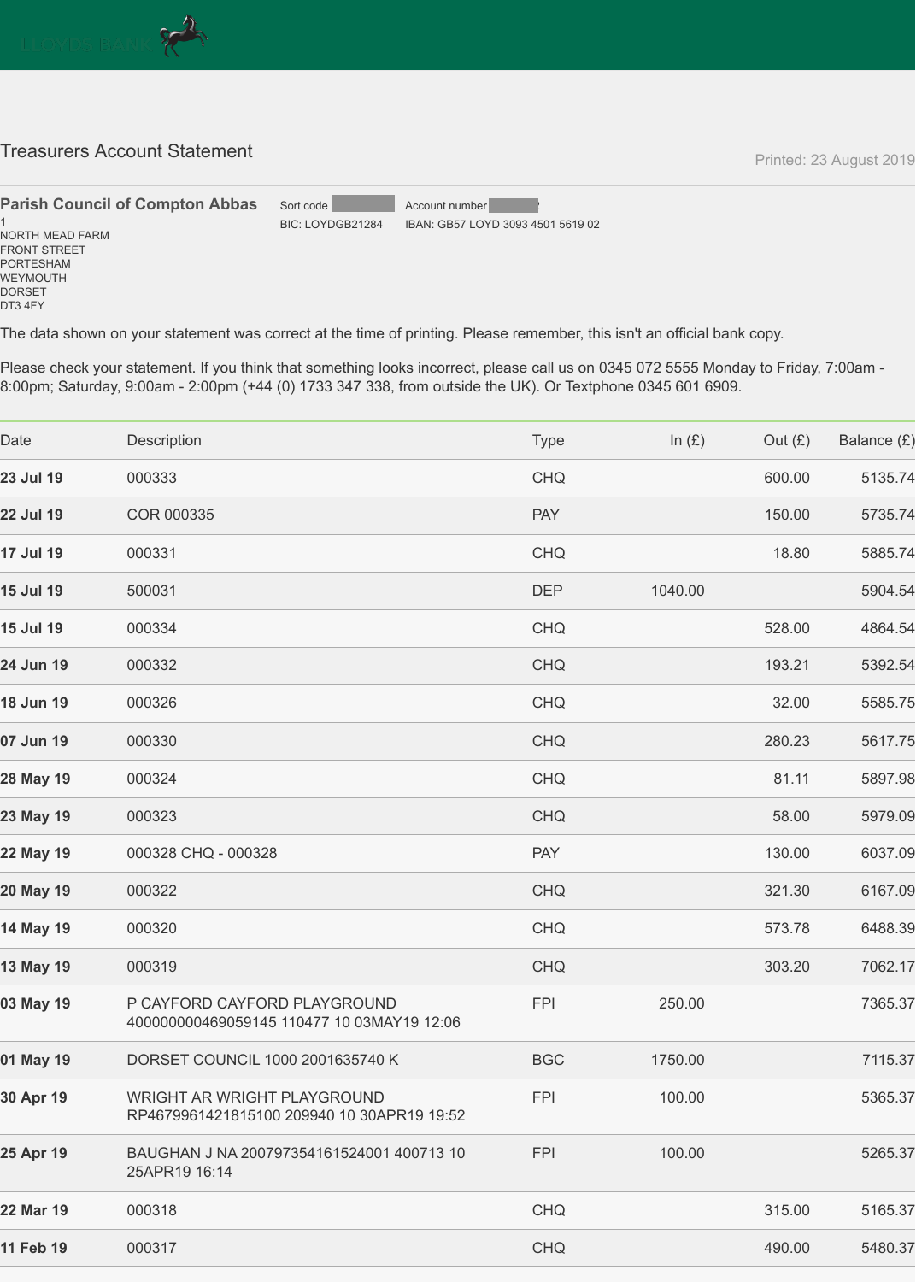

## **Treasurers Account Statement Account Statement Printed: 23 August 2019 Printed: 23 August 2019**

FRONT STREET PORTESHAM WEYMOUTH DORSET DT3 4FY

The data shown on your statement was correct at the time of printing. Please remember, this isn't an official bank copy.

Please check your statement. If you think that something looks incorrect, please call us on 0345 072 5555 Monday to Friday, 7:00am - 8:00pm; Saturday, 9:00am - 2:00pm (+44 (0) 1733 347 338, from outside the UK). Or Textphone 0345 601 6909.



| Date             | <b>Description</b>                                                         | <b>Type</b> | In $(E)$ | Out $(E)$ | Balance (£) |
|------------------|----------------------------------------------------------------------------|-------------|----------|-----------|-------------|
| <b>23 Jul 19</b> | 000333                                                                     | <b>CHQ</b>  |          | 600.00    | 5135.74     |
| <b>22 Jul 19</b> | <b>COR 000335</b>                                                          | <b>PAY</b>  |          | 150.00    | 5735.74     |
| <b>17 Jul 19</b> | 000331                                                                     | <b>CHQ</b>  |          | 18.80     | 5885.74     |
| <b>15 Jul 19</b> | 500031                                                                     | <b>DEP</b>  | 1040.00  |           | 5904.54     |
| <b>15 Jul 19</b> | 000334                                                                     | <b>CHQ</b>  |          | 528.00    | 4864.54     |
| 24 Jun 19        | 000332                                                                     | <b>CHQ</b>  |          | 193.21    | 5392.54     |
| <b>18 Jun 19</b> | 000326                                                                     | <b>CHQ</b>  |          | 32.00     | 5585.75     |
| 07 Jun 19        | 000330                                                                     | <b>CHQ</b>  |          | 280.23    | 5617.75     |
| 28 May 19        | 000324                                                                     | <b>CHQ</b>  |          | 81.11     | 5897.98     |
| 23 May 19        | 000323                                                                     | <b>CHQ</b>  |          | 58.00     | 5979.09     |
| 22 May 19        | 000328 CHQ - 000328                                                        | <b>PAY</b>  |          | 130.00    | 6037.09     |
| 20 May 19        | 000322                                                                     | <b>CHQ</b>  |          | 321.30    | 6167.09     |
| <b>14 May 19</b> | 000320                                                                     | <b>CHQ</b>  |          | 573.78    | 6488.39     |
| <b>13 May 19</b> | 000319                                                                     | <b>CHQ</b>  |          | 303.20    | 7062.17     |
| 03 May 19        | P CAYFORD CAYFORD PLAYGROUND<br>400000000469059145 110477 10 03MAY19 12:06 | <b>FPI</b>  | 250.00   |           | 7365.37     |
| 01 May 19        | <b>DORSET COUNCIL 1000 2001635740 K</b>                                    | <b>BGC</b>  | 1750.00  |           | 7115.37     |
| 30 Apr 19        | WRIGHT AR WRIGHT PLAYGROUND<br>RP4679961421815100 209940 10 30APR19 19:52  | <b>FPI</b>  | 100.00   |           | 5365.37     |
| 25 Apr 19        | BAUGHAN J NA 200797354161524001 400713 10<br>25APR19 16:14                 | <b>FPI</b>  | 100.00   |           | 5265.37     |
| 22 Mar 19        | 000318                                                                     | <b>CHQ</b>  |          | 315.00    | 5165.37     |
| 11 Feb 19        | 000317                                                                     | <b>CHQ</b>  |          | 490.00    | 5480.37     |
|                  |                                                                            |             |          |           |             |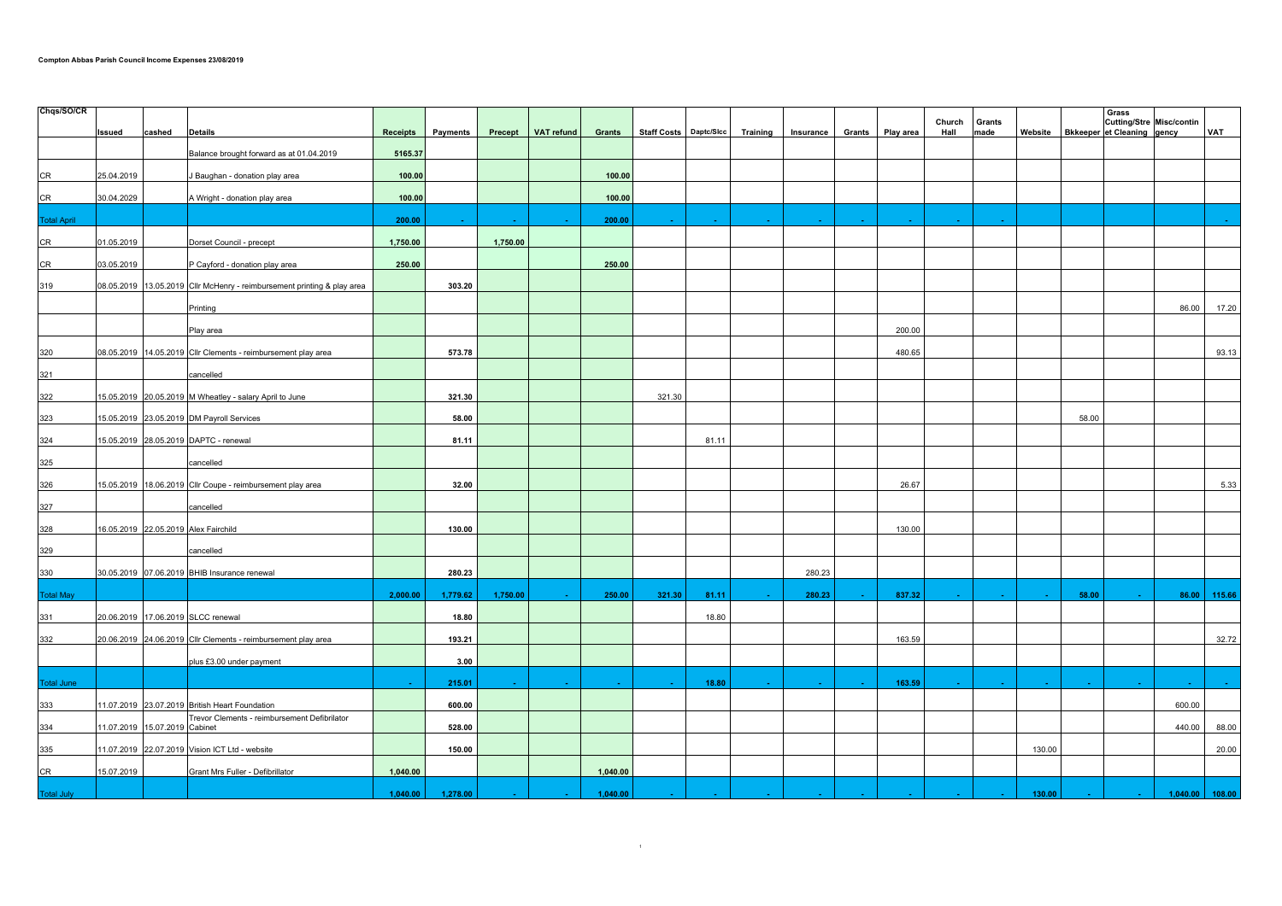| Chqs/SO/CR         |            |                                                                               |                 |                 |          |            |          |                        |                 |           |        |           |                |                |         |       | Grass                                                                |              |
|--------------------|------------|-------------------------------------------------------------------------------|-----------------|-----------------|----------|------------|----------|------------------------|-----------------|-----------|--------|-----------|----------------|----------------|---------|-------|----------------------------------------------------------------------|--------------|
|                    | Issued     | <b>Details</b><br>cashed                                                      | <b>Receipts</b> | <b>Payments</b> | Precept  | VAT refund | Grants   | Staff Costs Daptc/Sicc | <b>Training</b> | Insurance | Grants | Play area | Church<br>Hall | Grants<br>made | Website |       | <b>Cutting/Stre Misc/contin</b><br><b>Bkkeeper et Cleaning gency</b> | VAT          |
|                    |            | Balance brought forward as at 01.04.2019                                      | 5165.37         |                 |          |            |          |                        |                 |           |        |           |                |                |         |       |                                                                      |              |
| CR                 | 25.04.2019 | J Baughan - donation play area                                                | 100.00          |                 |          |            | 100.00   |                        |                 |           |        |           |                |                |         |       |                                                                      |              |
|                    |            |                                                                               |                 |                 |          |            |          |                        |                 |           |        |           |                |                |         |       |                                                                      |              |
| CR                 | 30.04.2029 | A Wright - donation play area                                                 | 100.00          |                 |          |            | 100.00   |                        |                 |           |        |           |                |                |         |       |                                                                      |              |
| <b>Total April</b> |            |                                                                               | 200.00          |                 |          |            | 200.00   |                        |                 |           |        |           |                |                |         |       |                                                                      |              |
| ${\sf CR}$         | 01.05.2019 | Dorset Council - precept                                                      | 1,750.00        |                 | 1,750.00 |            |          |                        |                 |           |        |           |                |                |         |       |                                                                      |              |
| ${\sf CR}$         | 03.05.2019 | P Cayford - donation play area                                                | 250.00          |                 |          |            | 250.00   |                        |                 |           |        |           |                |                |         |       |                                                                      |              |
| 319                | 08.05.2019 | 13.05.2019 Cllr McHenry - reimbursement printing & play area                  |                 | 303.20          |          |            |          |                        |                 |           |        |           |                |                |         |       |                                                                      |              |
|                    |            | Printing                                                                      |                 |                 |          |            |          |                        |                 |           |        |           |                |                |         |       | 86.00                                                                | 17.20        |
|                    |            | Play area                                                                     |                 |                 |          |            |          |                        |                 |           |        | 200.00    |                |                |         |       |                                                                      |              |
| 320                |            | 08.05.2019 14.05.2019 Cllr Clements - reimbursement play area                 |                 | 573.78          |          |            |          |                        |                 |           |        | 480.65    |                |                |         |       |                                                                      | 93.13        |
| 321                |            | cancelled                                                                     |                 |                 |          |            |          |                        |                 |           |        |           |                |                |         |       |                                                                      |              |
| 322                |            | 15.05.2019 20.05.2019 M Wheatley - salary April to June                       |                 | 321.30          |          |            |          | 321.30                 |                 |           |        |           |                |                |         |       |                                                                      |              |
| 323                |            | 15.05.2019 23.05.2019 DM Payroll Services                                     |                 | 58.00           |          |            |          |                        |                 |           |        |           |                |                |         | 58.00 |                                                                      |              |
| 324                |            | 15.05.2019 28.05.2019 DAPTC - renewal                                         |                 | 81.11           |          |            |          | 81.11                  |                 |           |        |           |                |                |         |       |                                                                      |              |
| 325                |            | cancelled                                                                     |                 |                 |          |            |          |                        |                 |           |        |           |                |                |         |       |                                                                      |              |
| 326                |            | 15.05.2019 18.06.2019 Cllr Coupe - reimbursement play area                    |                 | 32.00           |          |            |          |                        |                 |           |        | 26.67     |                |                |         |       |                                                                      | 5.33         |
| 327                |            | cancelled                                                                     |                 |                 |          |            |          |                        |                 |           |        |           |                |                |         |       |                                                                      |              |
| 328                |            | 16.05.2019 22.05.2019 Alex Fairchild                                          |                 | 130.00          |          |            |          |                        |                 |           |        | 130.00    |                |                |         |       |                                                                      |              |
| 329                |            | cancelled                                                                     |                 |                 |          |            |          |                        |                 |           |        |           |                |                |         |       |                                                                      |              |
| 330                |            | 30.05.2019 07.06.2019 BHIB Insurance renewal                                  |                 | 280.23          |          |            |          |                        |                 | 280.23    |        |           |                |                |         |       |                                                                      |              |
| <b>Total May</b>   |            |                                                                               | 2,000.00        | 1,779.62        | 1,750.00 |            | 250.00   | 321.30<br>81.11        |                 | 280.23    |        | 837.32    |                |                |         | 58.00 |                                                                      | 86.00 115.66 |
| 331                | 20.06.2019 | 17.06.2019 SLCC renewal                                                       |                 | 18.80           |          |            |          | 18.80                  |                 |           |        |           |                |                |         |       |                                                                      |              |
| 332                |            | 20.06.2019 24.06.2019 Cllr Clements - reimbursement play area                 |                 | 193.21          |          |            |          |                        |                 |           |        | 163.59    |                |                |         |       |                                                                      | 32.72        |
|                    |            | plus £3.00 under payment                                                      |                 | 3.00            |          |            |          |                        |                 |           |        |           |                |                |         |       |                                                                      |              |
| Total June         |            |                                                                               |                 | 215.01          |          |            |          | 18.80                  |                 |           |        | 163.59    |                |                |         |       |                                                                      |              |
| 333                |            | 11.07.2019 23.07.2019 British Heart Foundation                                |                 | 600.00          |          |            |          |                        |                 |           |        |           |                |                |         |       | 600.00                                                               |              |
| 334                |            | Trevor Clements - reimbursement Defibrilator<br>11.07.2019 15.07.2019 Cabinet |                 | 528.00          |          |            |          |                        |                 |           |        |           |                |                |         |       | 440.00                                                               | 88.00        |
| 335                |            | 11.07.2019 22.07.2019 Vision ICT Ltd - website                                |                 | 150.00          |          |            |          |                        |                 |           |        |           |                |                | 130.00  |       |                                                                      | 20.00        |
| <b>CR</b>          | 15.07.2019 | Grant Mrs Fuller - Defibrillator                                              | 1,040.00        |                 |          |            | 1,040.00 |                        |                 |           |        |           |                |                |         |       |                                                                      |              |
| <b>Total July</b>  |            |                                                                               | 1,040.00        | 1,278.00        |          |            | 1,040.00 |                        |                 |           |        |           |                |                | 130.00  |       | 1,040.00                                                             | 108.00       |